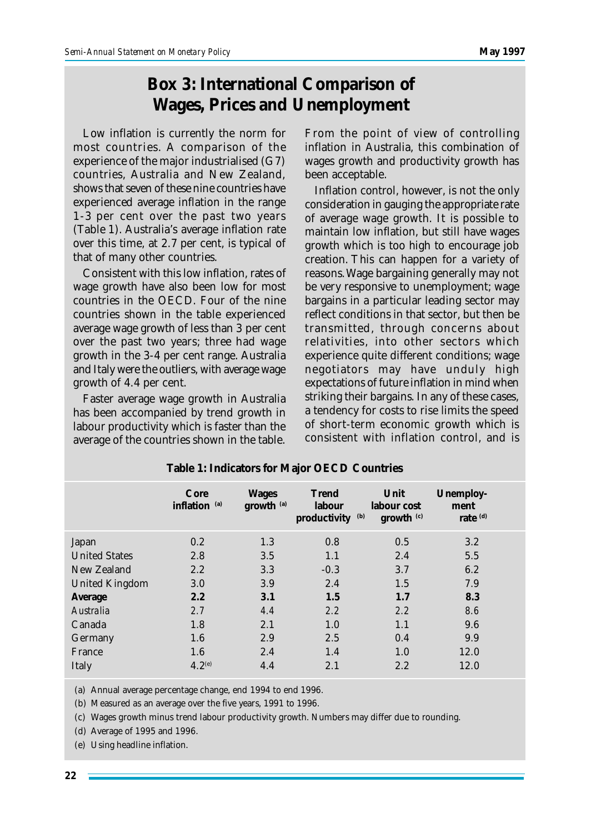## **Box 3: International Comparison of Wages, Prices and Unemployment**

Low inflation is currently the norm for most countries. A comparison of the experience of the major industrialised (G7) countries, Australia and New Zealand, shows that seven of these nine countries have experienced average inflation in the range 1-3 per cent over the past two years (Table 1). Australia's average inflation rate over this time, at 2.7 per cent, is typical of that of many other countries.

Consistent with this low inflation, rates of wage growth have also been low for most countries in the OECD. Four of the nine countries shown in the table experienced average wage growth of less than 3 per cent over the past two years; three had wage growth in the 3-4 per cent range. Australia and Italy were the outliers, with average wage growth of 4.4 per cent.

Faster average wage growth in Australia has been accompanied by trend growth in labour productivity which is faster than the average of the countries shown in the table.

From the point of view of controlling inflation in Australia, this combination of wages growth and productivity growth has been acceptable.

Inflation control, however, is not the only consideration in gauging the appropriate rate of average wage growth. It is possible to maintain low inflation, but still have wages growth which is too high to encourage job creation. This can happen for a variety of reasons. Wage bargaining generally may not be very responsive to unemployment; wage bargains in a particular leading sector may reflect conditions in that sector, but then be transmitted, through concerns about relativities, into other sectors which experience quite different conditions; wage negotiators may have unduly high expectations of future inflation in mind when striking their bargains. In any of these cases, a tendency for costs to rise limits the speed of short-term economic growth which is consistent with inflation control, and is

|                       | Core<br>inflation <sup>(a)</sup> | <b>Wages</b><br>growth <sup>(a)</sup> | <b>Trend</b><br>labour<br>(b)<br>productivity | Unit<br>labour cost<br>growth (c) | Unemploy-<br>ment<br>rate <sup>(d)</sup> |
|-----------------------|----------------------------------|---------------------------------------|-----------------------------------------------|-----------------------------------|------------------------------------------|
| Japan                 | 0.2                              | 1.3                                   | 0.8                                           | 0.5                               | 3.2                                      |
| <b>United States</b>  | 2.8                              | 3.5                                   | 1.1                                           | 2.4                               | 5.5                                      |
| New Zealand           | 2.2                              | 3.3                                   | $-0.3$                                        | 3.7                               | 6.2                                      |
| <b>United Kingdom</b> | 3.0                              | 3.9                                   | 2.4                                           | 1.5                               | 7.9                                      |
| Average               | 2.2                              | 3.1                                   | 1.5                                           | 1.7                               | 8.3                                      |
| Australia             | 2.7                              | 4.4                                   | 2.2                                           | 2.2                               | 8.6                                      |
| Canada                | 1.8                              | 2.1                                   | 1.0                                           | 1.1                               | 9.6                                      |
| Germany               | 1.6                              | 2.9                                   | 2.5                                           | 0.4                               | 9.9                                      |
| France                | 1.6                              | 2.4                                   | 1.4                                           | 1.0                               | 12.0                                     |
| Italy                 | $4.2^{(e)}$                      | 4.4                                   | 2.1                                           | 2.2                               | 12.0                                     |

**Table 1: Indicators for Major OECD Countries**

(a) Annual average percentage change, end 1994 to end 1996.

(b) Measured as an average over the five years, 1991 to 1996.

(c) Wages growth minus trend labour productivity growth. Numbers may differ due to rounding.

(d) Average of 1995 and 1996.

(e) Using headline inflation.